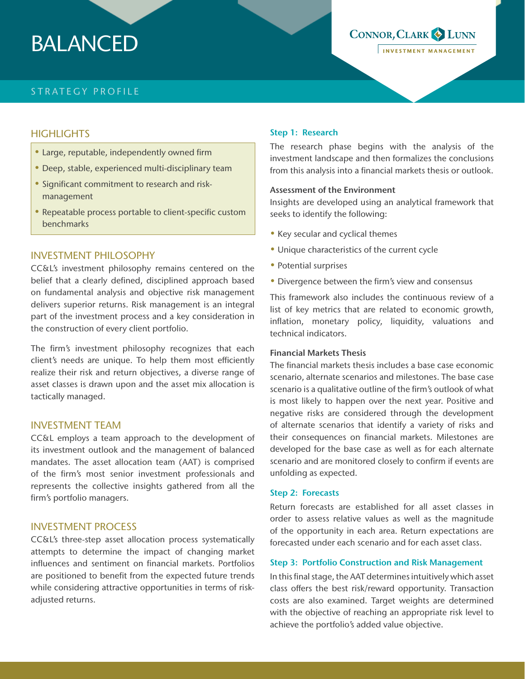# BALANCED

# STRATEGY PROFILE

## **HIGHLIGHTS**

- Large, reputable, independently owned firm
- Deep, stable, experienced multi-disciplinary team
- Significant commitment to research and riskmanagement
- Repeatable process portable to client-specific custom benchmarks

## INVESTMENT PHILOSOPHY

CC&L's investment philosophy remains centered on the belief that a clearly defined, disciplined approach based on fundamental analysis and objective risk management delivers superior returns. Risk management is an integral part of the investment process and a key consideration in the construction of every client portfolio.

The firm's investment philosophy recognizes that each client's needs are unique. To help them most efficiently realize their risk and return objectives, a diverse range of asset classes is drawn upon and the asset mix allocation is tactically managed.

## INVESTMENT TEAM

CC&L employs a team approach to the development of its investment outlook and the management of balanced mandates. The asset allocation team (AAT) is comprised of the firm's most senior investment professionals and represents the collective insights gathered from all the firm's portfolio managers.

## INVESTMENT PROCESS

CC&L's three-step asset allocation process systematically attempts to determine the impact of changing market influences and sentiment on financial markets. Portfolios are positioned to benefit from the expected future trends while considering attractive opportunities in terms of riskadjusted returns.

#### Step 1: Research

The research phase begins with the analysis of the investment landscape and then formalizes the conclusions from this analysis into a financial markets thesis or outlook.

CONNOR, CLARK & LUNN

INVESTMENT MANAGEMENT

#### Assessment of the Environment

Insights are developed using an analytical framework that seeks to identify the following:

- Key secular and cyclical themes
- Unique characteristics of the current cycle
- Potential surprises
- Divergence between the firm's view and consensus

This framework also includes the continuous review of a list of key metrics that are related to economic growth, inflation, monetary policy, liquidity, valuations and technical indicators.

### Financial Markets Thesis

The financial markets thesis includes a base case economic scenario, alternate scenarios and milestones. The base case scenario is a qualitative outline of the firm's outlook of what is most likely to happen over the next year. Positive and negative risks are considered through the development of alternate scenarios that identify a variety of risks and their consequences on financial markets. Milestones are developed for the base case as well as for each alternate scenario and are monitored closely to confirm if events are unfolding as expected.

#### Step 2: Forecasts

Return forecasts are established for all asset classes in order to assess relative values as well as the magnitude of the opportunity in each area. Return expectations are forecasted under each scenario and for each asset class.

#### Step 3: Portfolio Construction and Risk Management

In this final stage, the AAT determines intuitively which asset class offers the best risk/reward opportunity. Transaction costs are also examined. Target weights are determined with the objective of reaching an appropriate risk level to achieve the portfolio's added value objective.